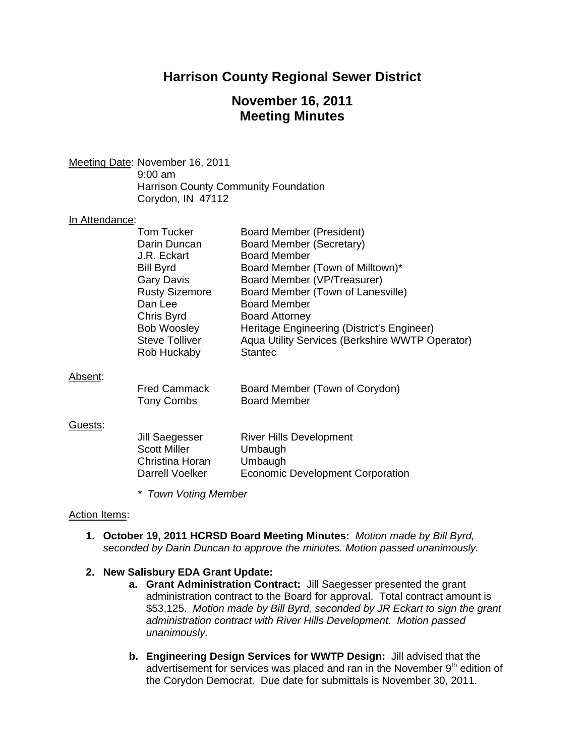## **Harrison County Regional Sewer District**

# **November 16, 2011 Meeting Minutes**

Meeting Date: November 16, 2011 9:00 am

 Harrison County Community Foundation Corydon, IN 47112

#### In Attendance:

| Tom Tucker            | <b>Board Member (President)</b>                 |
|-----------------------|-------------------------------------------------|
| Darin Duncan          | Board Member (Secretary)                        |
| J.R. Eckart           | <b>Board Member</b>                             |
| <b>Bill Byrd</b>      | Board Member (Town of Milltown)*                |
| <b>Gary Davis</b>     | Board Member (VP/Treasurer)                     |
| <b>Rusty Sizemore</b> | Board Member (Town of Lanesville)               |
| Dan Lee               | <b>Board Member</b>                             |
| Chris Byrd            | <b>Board Attorney</b>                           |
| <b>Bob Woosley</b>    | Heritage Engineering (District's Engineer)      |
| <b>Steve Tolliver</b> | Aqua Utility Services (Berkshire WWTP Operator) |
| Rob Huckaby           | <b>Stantec</b>                                  |
|                       |                                                 |

#### Absent:

| <b>Fred Cammack</b> | Board Member (Town of Corydon) |
|---------------------|--------------------------------|
| Tony Combs          | Board Member                   |

#### Guests:

| <b>River Hills Development</b>   |
|----------------------------------|
| Umbaugh                          |
| Umbaugh                          |
| Economic Development Corporation |
|                                  |

*\* Town Voting Member* 

#### Action Items:

**1. October 19, 2011 HCRSD Board Meeting Minutes:** *Motion made by Bill Byrd, seconded by Darin Duncan to approve the minutes. Motion passed unanimously.* 

## **2. New Salisbury EDA Grant Update:**

- **a. Grant Administration Contract:** Jill Saegesser presented the grant administration contract to the Board for approval. Total contract amount is \$53,125. *Motion made by Bill Byrd, seconded by JR Eckart to sign the grant administration contract with River Hills Development. Motion passed unanimously.*
- **b. Engineering Design Services for WWTP Design:** Jill advised that the advertisement for services was placed and ran in the November  $9<sup>th</sup>$  edition of the Corydon Democrat. Due date for submittals is November 30, 2011.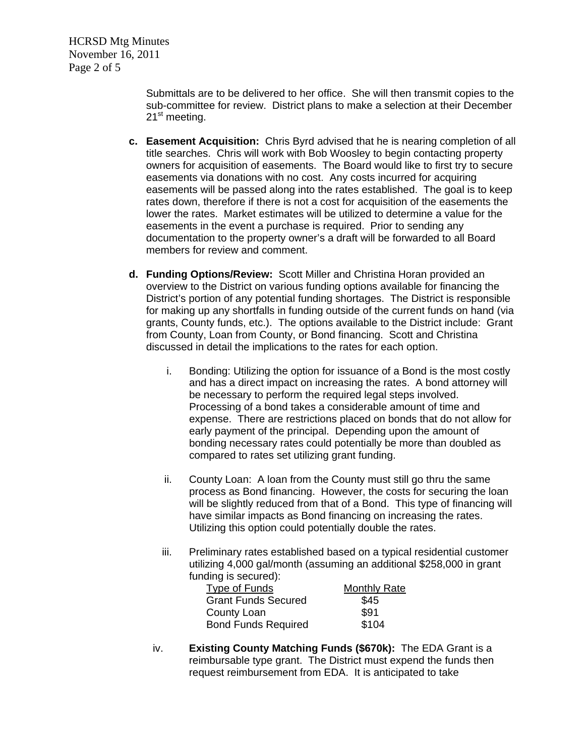HCRSD Mtg Minutes November 16, 2011 Page 2 of 5

> Submittals are to be delivered to her office. She will then transmit copies to the sub-committee for review. District plans to make a selection at their December 21<sup>st</sup> meeting.

- **c. Easement Acquisition:** Chris Byrd advised that he is nearing completion of all title searches. Chris will work with Bob Woosley to begin contacting property owners for acquisition of easements. The Board would like to first try to secure easements via donations with no cost. Any costs incurred for acquiring easements will be passed along into the rates established. The goal is to keep rates down, therefore if there is not a cost for acquisition of the easements the lower the rates. Market estimates will be utilized to determine a value for the easements in the event a purchase is required. Prior to sending any documentation to the property owner's a draft will be forwarded to all Board members for review and comment.
- **d. Funding Options/Review:** Scott Miller and Christina Horan provided an overview to the District on various funding options available for financing the District's portion of any potential funding shortages. The District is responsible for making up any shortfalls in funding outside of the current funds on hand (via grants, County funds, etc.). The options available to the District include: Grant from County, Loan from County, or Bond financing. Scott and Christina discussed in detail the implications to the rates for each option.
	- i. Bonding: Utilizing the option for issuance of a Bond is the most costly and has a direct impact on increasing the rates. A bond attorney will be necessary to perform the required legal steps involved. Processing of a bond takes a considerable amount of time and expense. There are restrictions placed on bonds that do not allow for early payment of the principal. Depending upon the amount of bonding necessary rates could potentially be more than doubled as compared to rates set utilizing grant funding.
	- ii. County Loan: A loan from the County must still go thru the same process as Bond financing. However, the costs for securing the loan will be slightly reduced from that of a Bond. This type of financing will have similar impacts as Bond financing on increasing the rates. Utilizing this option could potentially double the rates.
	- iii. Preliminary rates established based on a typical residential customer utilizing 4,000 gal/month (assuming an additional \$258,000 in grant funding is secured):

| Type of Funds              | <b>Monthly Rate</b> |
|----------------------------|---------------------|
| <b>Grant Funds Secured</b> | \$45                |
| County Loan                | \$91                |
| <b>Bond Funds Required</b> | \$104               |

iv. **Existing County Matching Funds (\$670k):** The EDA Grant is a reimbursable type grant. The District must expend the funds then request reimbursement from EDA. It is anticipated to take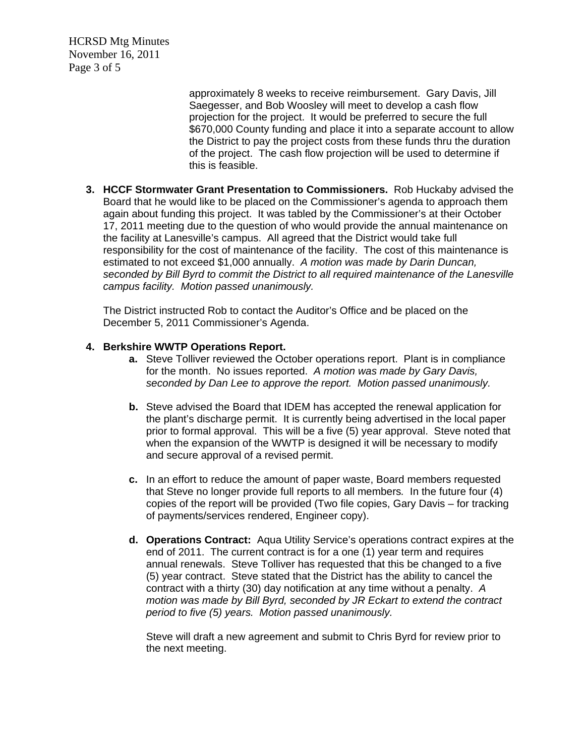HCRSD Mtg Minutes November 16, 2011 Page 3 of 5

> approximately 8 weeks to receive reimbursement. Gary Davis, Jill Saegesser, and Bob Woosley will meet to develop a cash flow projection for the project. It would be preferred to secure the full \$670,000 County funding and place it into a separate account to allow the District to pay the project costs from these funds thru the duration of the project. The cash flow projection will be used to determine if this is feasible.

**3. HCCF Stormwater Grant Presentation to Commissioners.** Rob Huckaby advised the Board that he would like to be placed on the Commissioner's agenda to approach them again about funding this project. It was tabled by the Commissioner's at their October 17, 2011 meeting due to the question of who would provide the annual maintenance on the facility at Lanesville's campus. All agreed that the District would take full responsibility for the cost of maintenance of the facility. The cost of this maintenance is estimated to not exceed \$1,000 annually. *A motion was made by Darin Duncan, seconded by Bill Byrd to commit the District to all required maintenance of the Lanesville campus facility. Motion passed unanimously.*

The District instructed Rob to contact the Auditor's Office and be placed on the December 5, 2011 Commissioner's Agenda.

## **4. Berkshire WWTP Operations Report.**

- **a.** Steve Tolliver reviewed the October operations report. Plant is in compliance for the month. No issues reported. *A motion was made by Gary Davis, seconded by Dan Lee to approve the report. Motion passed unanimously.*
- **b.** Steve advised the Board that IDEM has accepted the renewal application for the plant's discharge permit. It is currently being advertised in the local paper prior to formal approval. This will be a five (5) year approval. Steve noted that when the expansion of the WWTP is designed it will be necessary to modify and secure approval of a revised permit.
- **c.** In an effort to reduce the amount of paper waste, Board members requested that Steve no longer provide full reports to all members*.* In the future four (4) copies of the report will be provided (Two file copies, Gary Davis – for tracking of payments/services rendered, Engineer copy).
- **d. Operations Contract:** Aqua Utility Service's operations contract expires at the end of 2011. The current contract is for a one (1) year term and requires annual renewals. Steve Tolliver has requested that this be changed to a five (5) year contract. Steve stated that the District has the ability to cancel the contract with a thirty (30) day notification at any time without a penalty. *A motion was made by Bill Byrd, seconded by JR Eckart to extend the contract period to five (5) years. Motion passed unanimously.*

Steve will draft a new agreement and submit to Chris Byrd for review prior to the next meeting.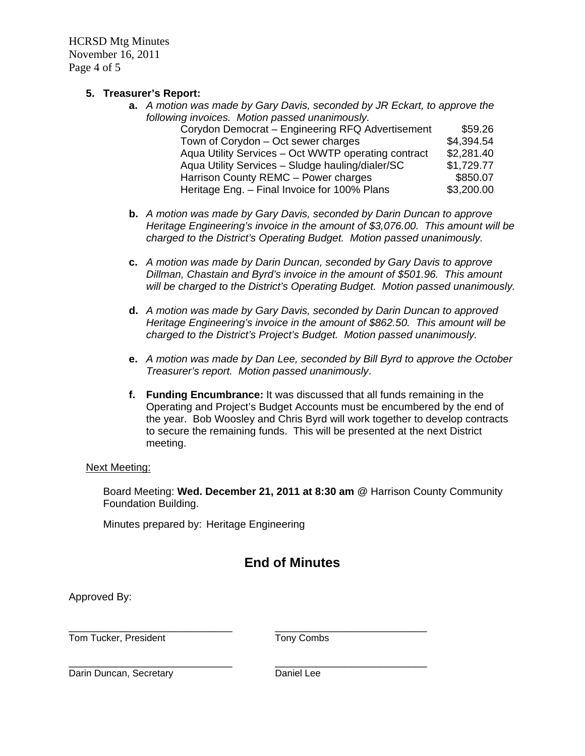HCRSD Mtg Minutes November 16, 2011 Page 4 of 5

## **5. Treasurer's Report:**

- **a.** *A motion was made by Gary Davis, seconded by JR Eckart, to approve the following invoices. Motion passed unanimously.*  Corydon Democrat – Engineering RFQ Advertisement \$59.26 Town of Corydon – Oct sewer charges \$4,394.54 Aqua Utility Services – Oct WWTP operating contract \$2,281.40 Aqua Utility Services - Sludge hauling/dialer/SC \$1,729.77 Harrison County REMC – Power charges \$850.07 Heritage Eng. – Final Invoice for 100% Plans \$3,200.00
- **b.** *A motion was made by Gary Davis, seconded by Darin Duncan to approve Heritage Engineering's invoice in the amount of \$3,076.00. This amount will be charged to the District's Operating Budget. Motion passed unanimously.*
- **c.** *A motion was made by Darin Duncan, seconded by Gary Davis to approve Dillman, Chastain and Byrd's invoice in the amount of \$501.96. This amount will be charged to the District's Operating Budget. Motion passed unanimously.*
- **d.** *A motion was made by Gary Davis, seconded by Darin Duncan to approved Heritage Engineering's invoice in the amount of \$862.50. This amount will be charged to the District's Project's Budget. Motion passed unanimously.*
- **e.** *A motion was made by Dan Lee, seconded by Bill Byrd to approve the October Treasurer's report. Motion passed unanimously*.
- **f. Funding Encumbrance:** It was discussed that all funds remaining in the Operating and Project's Budget Accounts must be encumbered by the end of the year. Bob Woosley and Chris Byrd will work together to develop contracts to secure the remaining funds. This will be presented at the next District meeting.

## Next Meeting:

Board Meeting: **Wed. December 21, 2011 at 8:30 am** @ Harrison County Community Foundation Building.

Minutes prepared by: Heritage Engineering

# **End of Minutes**

Approved By:

\_\_\_\_\_\_\_\_\_\_\_\_\_\_\_\_\_\_\_\_\_\_\_\_\_\_\_\_ \_\_\_\_\_\_\_\_\_\_\_\_\_\_\_\_\_\_\_\_\_\_\_\_\_\_ Tom Tucker, President Tony Combs

\_\_\_\_\_\_\_\_\_\_\_\_\_\_\_\_\_\_\_\_\_\_\_\_\_\_\_\_ \_\_\_\_\_\_\_\_\_\_\_\_\_\_\_\_\_\_\_\_\_\_\_\_\_\_ Darin Duncan, Secretary **Daniel Lee**